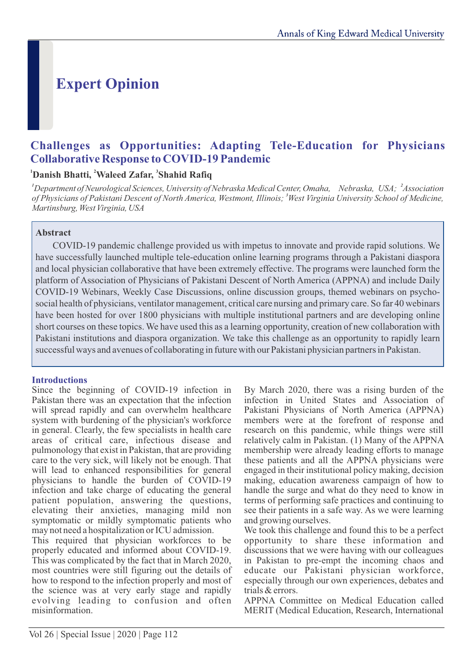# **Expert Opinion**

# **Challenges as Opportunities: Adapting Tele-Education for Physicians Collaborative Response to COVID-19 Pandemic**

#### <sup>1</sup>Danish Bhatti, <sup>2</sup>Waleed Zafar, <sup>3</sup>Shahid Rafiq

<sup>1</sup> Department of Neurological Sciences, University of Nebraska Medical Center, Omaha, Nebraska, USA; <sup>2</sup> Association of Physicians of Pakistani Descent of North America, Westmont, Illinois; <sup>3</sup>West Virginia University School of Medicine, *Martinsburg, West Virginia, USA*

### **Abstract**

COVID-19 pandemic challenge provided us with impetus to innovate and provide rapid solutions. We have successfully launched multiple tele-education online learning programs through a Pakistani diaspora and local physician collaborative that have been extremely effective. The programs were launched form the platform of Association of Physicians of Pakistani Descent of North America (APPNA) and include Daily COVID-19 Webinars, Weekly Case Discussions, online discussion groups, themed webinars on psychosocial health of physicians, ventilator management, critical care nursing and primary care. So far 40 webinars have been hosted for over 1800 physicians with multiple institutional partners and are developing online short courses on these topics. We have used this as a learning opportunity, creation of new collaboration with Pakistani institutions and diaspora organization. We take this challenge as an opportunity to rapidly learn successful ways and avenues of collaborating in future with our Pakistani physician partners in Pakistan.

#### **Introductions**

Since the beginning of COVID-19 infection in Pakistan there was an expectation that the infection will spread rapidly and can overwhelm healthcare system with burdening of the physician's workforce in general. Clearly, the few specialists in health care areas of critical care, infectious disease and pulmonology that exist in Pakistan, that are providing care to the very sick, will likely not be enough. That will lead to enhanced responsibilities for general physicians to handle the burden of COVID-19 infection and take charge of educating the general patient population, answering the questions, elevating their anxieties, managing mild non symptomatic or mildly symptomatic patients who may not need a hospitalization or ICU admission.

This required that physician workforces to be properly educated and informed about COVID-19. This was complicated by the fact that in March 2020, most countries were still figuring out the details of how to respond to the infection properly and most of the science was at very early stage and rapidly evolving leading to confusion and often misinformation.

By March 2020, there was a rising burden of the infection in United States and Association of Pakistani Physicians of North America (APPNA) members were at the forefront of response and research on this pandemic, while things were still relatively calm in Pakistan. (1) Many of the APPNA membership were already leading efforts to manage these patients and all the APPNA physicians were engaged in their institutional policy making, decision making, education awareness campaign of how to handle the surge and what do they need to know in terms of performing safe practices and continuing to see their patients in a safe way. As we were learning and growing ourselves.

We took this challenge and found this to be a perfect opportunity to share these information and discussions that we were having with our colleagues in Pakistan to pre-empt the incoming chaos and educate our Pakistani physician workforce, especially through our own experiences, debates and trials & errors.

APPNA Committee on Medical Education called MERIT (Medical Education, Research, International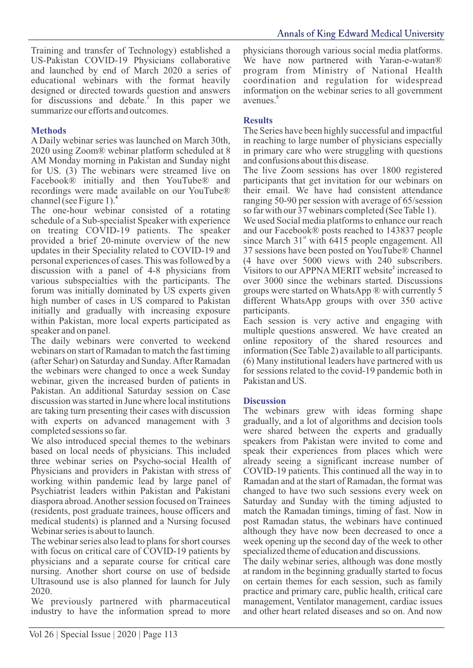Training and transfer of Technology) established a US-Pakistan COVID-19 Physicians collaborative and launched by end of March 2020 a series of educational webinars with the format heavily designed or directed towards question and answers for discussions and debate.<sup>2</sup> In this paper we summarize our efforts and outcomes.

#### **Methods**

A Daily webinar series was launched on March 30th, 2020 using Zoom® webinar platform scheduled at 8 AM Monday morning in Pakistan and Sunday night for US. (3) The webinars were streamed live on Facebook® initially and then YouTube® and recordings were made available on our YouTube® **4** channel (see Figure 1).

The one-hour webinar consisted of a rotating schedule of a Sub-specialist Speaker with experience on treating COVID-19 patients. The speaker provided a brief 20-minute overview of the new updates in their Speciality related to COVID-19 and personal experiences of cases. This was followed by a discussion with a panel of 4-8 physicians from various subspecialties with the participants. The forum was initially dominated by US experts given high number of cases in US compared to Pakistan initially and gradually with increasing exposure within Pakistan, more local experts participated as speaker and on panel.

The daily webinars were converted to weekend webinars on start of Ramadan to match the fast timing (after Sehar) on Saturday and Sunday. After Ramadan the webinars were changed to once a week Sunday webinar, given the increased burden of patients in Pakistan. An additional Saturday session on Case discussion was started in June where local institutions are taking turn presenting their cases with discussion with experts on advanced management with 3 completed sessions so far.

We also introduced special themes to the webinars based on local needs of physicians. This included three webinar series on Psycho-social Health of Physicians and providers in Pakistan with stress of working within pandemic lead by large panel of Psychiatrist leaders within Pakistan and Pakistani diaspora abroad. Another session focused on Trainees (residents, post graduate trainees, house officers and medical students) is planned and a Nursing focused Webinar series is about to launch.

The webinar series also lead to plans for short courses with focus on critical care of COVID-19 patients by physicians and a separate course for critical care nursing. Another short course on use of bedside Ultrasound use is also planned for launch for July 2020.

We previously partnered with pharmaceutical industry to have the information spread to more

physicians thorough various social media platforms. We have now partnered with Yaran-e-watan<sup>®</sup> program from Ministry of National Health coordination and regulation for widespread information on the webinar series to all government **5** avenues.

#### **Results**

The Series have been highly successful and impactful in reaching to large number of physicians especially in primary care who were struggling with questions and confusions about this disease.

The live Zoom sessions has over 1800 registered participants that get invitation for our webinars on their email. We have had consistent attendance ranging 50-90 per session with average of 65/session so far with our 37 webinars completed (See Table 1).

We used Social media platforms to enhance our reach and our Facebook® posts reached to 143837 people since March  $31<sup>st</sup>$  with 6415 people engagement. All 37 sessions have been posted on YouTube® Channel (4 have over 5000 views with 240 subscribers. Visitors to our APPNA MERIT website<sup>2</sup> increased to over 3000 since the webinars started. Discussions groups were started on WhatsApp ® with currently 5 different WhatsApp groups with over 350 active participants.

Each session is very active and engaging with multiple questions answered. We have created an online repository of the shared resources and information (See Table 2) available to all participants. (6) Many institutional leaders have partnered with us for sessions related to the covid-19 pandemic both in Pakistan and US.

#### **Discussion**

The webinars grew with ideas forming shape gradually, and a lot of algorithms and decision tools were shared between the experts and gradually speakers from Pakistan were invited to come and speak their experiences from places which were already seeing a significant increase number of COVID-19 patients. This continued all the way in to Ramadan and at the start of Ramadan, the format was changed to have two such sessions every week on Saturday and Sunday with the timing adjusted to match the Ramadan timings, timing of fast. Now in post Ramadan status, the webinars have continued although they have now been decreased to once a week opening up the second day of the week to other specialized theme of education and discussions.

The daily webinar series, although was done mostly at random in the beginning gradually started to focus on certain themes for each session, such as family practice and primary care, public health, critical care management, Ventilator management, cardiac issues and other heart related diseases and so on. And now